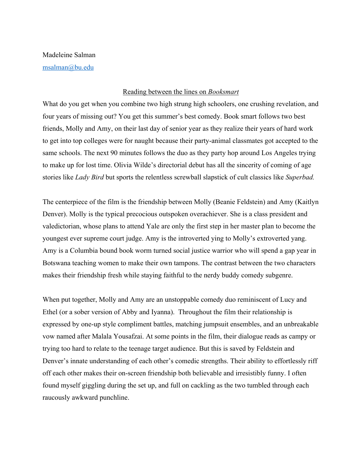## Madeleine Salman msalman@bu.edu

## Reading between the lines on *Booksmart*

What do you get when you combine two high strung high schoolers, one crushing revelation, and four years of missing out? You get this summer's best comedy. Book smart follows two best friends, Molly and Amy, on their last day of senior year as they realize their years of hard work to get into top colleges were for naught because their party-animal classmates got accepted to the same schools. The next 90 minutes follows the duo as they party hop around Los Angeles trying to make up for lost time. Olivia Wilde's directorial debut has all the sincerity of coming of age stories like *Lady Bird* but sports the relentless screwball slapstick of cult classics like *Superbad.*

The centerpiece of the film is the friendship between Molly (Beanie Feldstein) and Amy (Kaitlyn Denver). Molly is the typical precocious outspoken overachiever. She is a class president and valedictorian, whose plans to attend Yale are only the first step in her master plan to become the youngest ever supreme court judge. Amy is the introverted ying to Molly's extroverted yang. Amy is a Columbia bound book worm turned social justice warrior who will spend a gap year in Botswana teaching women to make their own tampons. The contrast between the two characters makes their friendship fresh while staying faithful to the nerdy buddy comedy subgenre.

When put together, Molly and Amy are an unstoppable comedy duo reminiscent of Lucy and Ethel (or a sober version of Abby and Iyanna). Throughout the film their relationship is expressed by one-up style compliment battles, matching jumpsuit ensembles, and an unbreakable vow named after Malala Yousafzai. At some points in the film, their dialogue reads as campy or trying too hard to relate to the teenage target audience. But this is saved by Feldstein and Denver's innate understanding of each other's comedic strengths. Their ability to effortlessly riff off each other makes their on-screen friendship both believable and irresistibly funny. I often found myself giggling during the set up, and full on cackling as the two tumbled through each raucously awkward punchline.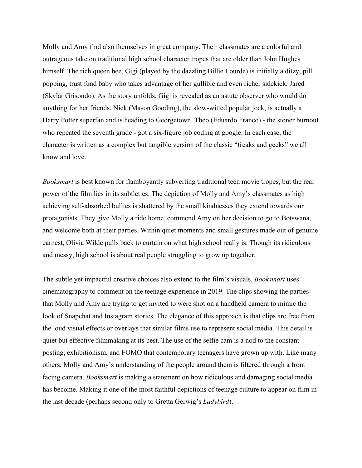Molly and Amy find also themselves in great company. Their classmates are a colorful and outrageous take on traditional high school character tropes that are older than John Hughes himself. The rich queen bee, Gigi (played by the dazzling Billie Lourde) is initially a ditzy, pill popping, trust fund baby who takes advantage of her gullible and even richer sidekick, Jared (Skylar Grisondo). As the story unfolds, Gigi is revealed as an astute observer who would do anything for her friends. Nick (Mason Gooding), the slow-witted popular jock, is actually a Harry Potter superfan and is heading to Georgetown. Theo (Eduardo Franco) - the stoner burnout who repeated the seventh grade - got a six-figure job coding at google. In each case, the character is written as a complex but tangible version of the classic "freaks and geeks" we all know and love.

*Booksmart* is best known for flamboyantly subverting traditional teen movie tropes, but the real power of the film lies in its subtleties. The depiction of Molly and Amy's classmates as high achieving self-absorbed bullies is shattered by the small kindnesses they extend towards our protagonists. They give Molly a ride home, commend Amy on her decision to go to Botswana, and welcome both at their parties. Within quiet moments and small gestures made out of genuine earnest, Olivia Wilde pulls back to curtain on what high school really is. Though its ridiculous and messy, high school is about real people struggling to grow up together.

The subtle yet impactful creative choices also extend to the film's visuals. *Booksmart* uses cinematography to comment on the teenage experience in 2019. The clips showing the parties that Molly and Amy are trying to get invited to were shot on a handheld camera to mimic the look of Snapchat and Instagram stories. The elegance of this approach is that clips are free from the loud visual effects or overlays that similar films use to represent social media. This detail is quiet but effective filmmaking at its best. The use of the selfie cam is a nod to the constant posting, exhibitionism, and FOMO that contemporary teenagers have grown up with. Like many others, Molly and Amy's understanding of the people around them is filtered through a front facing camera. *Booksmart* is making a statement on how ridiculous and damaging social media has become. Making it one of the most faithful depictions of teenage culture to appear on film in the last decade (perhaps second only to Gretta Gerwig's *Ladybird*).